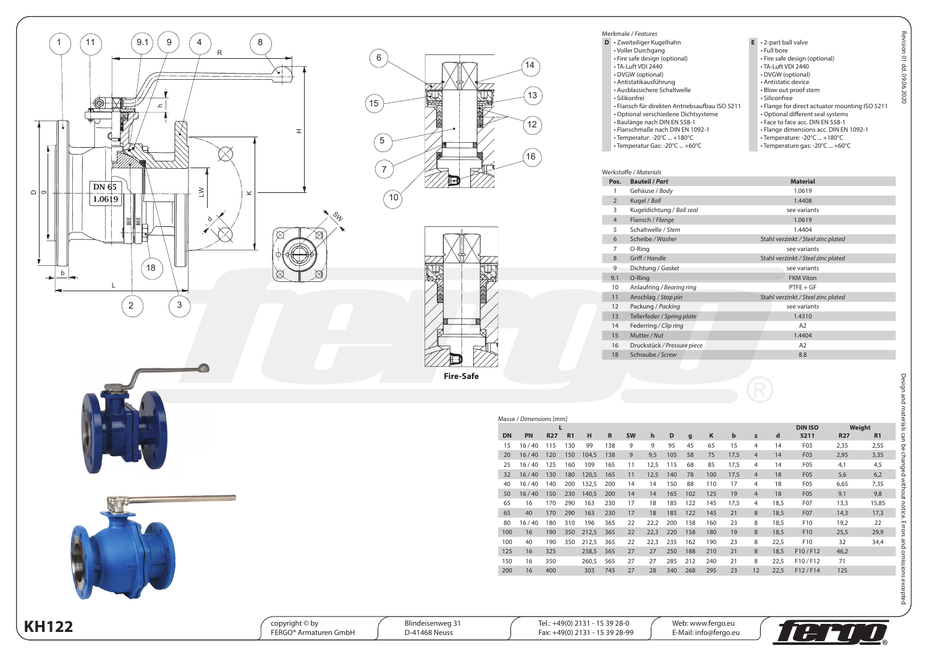





| Merkmale / Features                            |                                                |
|------------------------------------------------|------------------------------------------------|
| D · Zweiteiliger Kugelhahn                     | $E \rightarrow 2$ -part ball valve             |
| • Voller Durchgang                             | • Full bore                                    |
| · Fire safe design (optional)                  | • Fire safe design (optional)                  |
| • TA-Luft VDI 2440                             | • TA-Luft VDI 2440                             |
| • DVGW (optional)                              | • DVGW (optional)                              |
| · Antistatikausführung                         | · Antistatic device                            |
| · Ausblassichere Schaltwelle                   | • Blow out proof stem                          |
| · Silikonfrei                                  | · Siliconfree                                  |
| • Flansch für direkten Antriebsaufbau ISO 5211 | . Flange for direct actuator mounting ISO 5211 |
| • Optional verschiedene Dichtsysteme           | • Optional different seal systems              |
| · Baulänge nach DIN EN 558-1                   | . Face to face acc. DIN EN 558-1               |
| · Flanschmaße nach DIN EN 1092-1               | · Flange dimensions acc. DIN EN 1092-1         |
| • Temperatur: -20°C  +180°C                    | • Temperature: -20°C  +180°C                   |
| • Temperatur Gas: -20°C  +60°C                 | • Temperature gas: -20°C  +60°C                |

|                | Werkstoffe / Materials      |                                    |
|----------------|-----------------------------|------------------------------------|
| Pos.           | <b>Bauteil / Part</b>       | <b>Material</b>                    |
|                | Gehäuse / Body              | 1.0619                             |
| $\overline{2}$ | Kugel / Ball                | 1.4408                             |
| 3              | Kugeldichtung / Ball seal   | see variants                       |
| $\overline{4}$ | Flansch / Flange            | 1.0619                             |
| 5              | Schaltwelle / Stem          | 1.4404                             |
| 6              | Scheibe / Washer            | Stahl verzinkt / Steel zinc plated |
| 7              | O-Ring                      | see variants                       |
| 8              | Griff / Handle              | Stahl verzinkt / Steel zinc plated |
| 9              | Dichtung / Gasket           | see variants                       |
| 9.1            | O-Ring                      | <b>FKM Viton</b>                   |
| 10             | Anlaufring / Bearing ring   | $PTFE + GF$                        |
| 11             | Anschlag / Stop pin         | Stahl verzinkt / Steel zinc plated |
| 12             | Packung / Packing           | see variants                       |
| 13             | Tellerfeder / Spring plate  | 1.4310                             |
| 14             | Federring / Clip ring       | A <sub>2</sub>                     |
| 15             | Mutter/Nut                  | 1.4404                             |
| 16             | Druckstück / Pressure piece | A <sub>2</sub>                     |
| 18             | Schraube / Screw            | 8.8                                |

|           | Masse / Dimensions [mm] |            |                |       |             |           |              |     |              |     |             |                |      |                  |            |                |
|-----------|-------------------------|------------|----------------|-------|-------------|-----------|--------------|-----|--------------|-----|-------------|----------------|------|------------------|------------|----------------|
|           |                         | L          |                |       |             |           |              |     |              |     |             |                |      | <b>DIN ISO</b>   |            | Weight         |
| <b>DN</b> | <b>PN</b>               | <b>R27</b> | R <sub>1</sub> | н     | $\mathbf R$ | <b>SW</b> | $\mathbf{h}$ | D   | $\mathbf{g}$ | K   | $\mathbf b$ | z              | d    | 5211             | <b>R27</b> | R <sub>1</sub> |
| 15        | 16/40                   | 115        | 130            | 99    | 138         | 9         | 9            | 95  | 45           | 65  | 15          | 4              | 14   | F <sub>0</sub> 3 | 2,35       | 2,55           |
| 20        | 16/40                   | 120        | 150            | 104,5 | 138         | 9         | 9,5          | 105 | 58           | 75  | 17.5        | $\overline{4}$ | 14   | F03              | 2,95       | 3,35           |
| 25        | 16/40                   | 125        | 160            | 109   | 165         | 11        | 12,5         | 115 | 68           | 85  | 17,5        | 4              | 14   | F <sub>0</sub> 5 | 4,1        | 4,5            |
| 32        | 16/40                   | 130        | 180            | 120,5 | 165         | 11        | 12,5         | 140 | 78           | 100 | 17,5        | $\overline{4}$ | 18   | F05              | 5,6        | 6,2            |
| 40        | 16/40                   | 140        | 200            | 132,5 | 200         | 14        | 14           | 150 | 88           | 110 | 17          | 4              | 18   | F <sub>05</sub>  | 6,65       | 7,35           |
| 50        | 16/40                   | 150        | 230            | 140,5 | 200         | 14        | 14           | 165 | 102          | 125 | 19          | $\overline{4}$ | 18   | F05              | 9.1        | 9,8            |
| 65        | 16                      | 170        | 290            | 163   | 230         | 17        | 18           | 185 | 122          | 145 | 17.5        | 4              | 18.5 | F <sub>0</sub> 7 | 13,3       | 15,85          |
| 65        | 40                      | 170        | 290            | 163   | 230         | 17        | 18           | 185 | 122          | 145 | 21          | 8              | 18.5 | <b>F07</b>       | 14.3       | 17,3           |
| 80        | 16/40                   | 180        | 310            | 196   | 365         | 22        | 22,2         | 200 | 138          | 160 | 23          | 8              | 18,5 | F <sub>10</sub>  | 19,2       | 22             |
| 100       | 16                      | 190        | 350            | 212,5 | 365         | 22        | 22,3         | 220 | 158          | 180 | 19          | 8              | 18.5 | F <sub>10</sub>  | 25,5       | 29,9           |
| 100       | 40                      | 190        | 350            | 212,5 | 365         | 22        | 22,3         | 235 | 162          | 190 | 23          | 8              | 22,5 | F10              | 32         | 34,4           |
| 125       | 16                      | 325        |                | 238,5 | 565         | 27        | 27           | 250 | 188          | 210 | 21          | 8              | 18,5 | F10/F12          | 46,2       |                |
| 150       | 16                      | 350        |                | 260,5 | 565         | 27        | 27           | 285 | 212          | 240 | 21          | 8              | 22,5 | F10/F12          | 71         |                |
| 200       | 16                      | 400        |                | 303   | 745         | 27        | 28           | 340 | 268          | 295 | 23          | 12             | 22.5 | F12/F14          | 125        |                |

Blindeisenweg 31 D-41468 Neuss

Tel.: +49(0) 2131 - 15 39 28-0 Fax: +49(0) 2131 - 15 39 28-99



Design and materials can be changed without notice. Errors and omissions excepted

Design and materials can be changed without notice. Errors and omissions excepted Revision 01 dd. 09.06.2020

Revision 01 dd. 09.06.2020